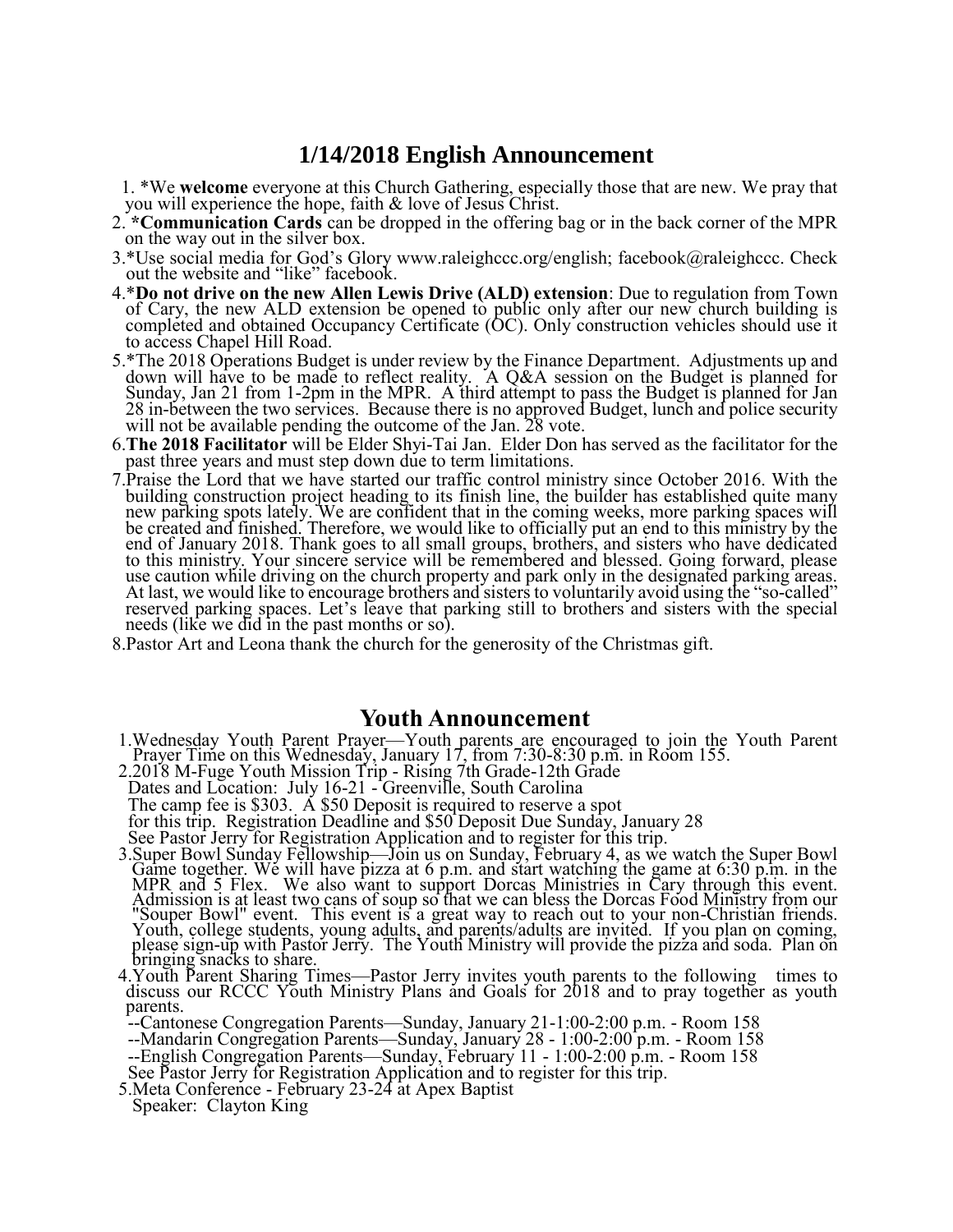## **1/14/2018 English Announcement**

1. \*We **welcome** everyone at this Church Gathering, especially those that are new. We pray that you will experience the hope, faith & love of Jesus Christ.

- 2. **\*Communication Cards** can be dropped in the offering bag or in the back corner of the MPR on the way out in the silver box.
- 3.\*Use social media for God's Glory www.raleighccc.org/english; facebook@raleighccc. Check out the website and "like" facebook.
- 4.\***Do not drive on the new Allen Lewis Drive (ALD) extension**: Due to regulation from Town of Cary, the new ALD extension be opened to public only after our new church building is completed and obtained Occupancy Certificate (OC). Only construction vehicles should use it to access Chapel Hill Road.
- 5.\*The 2018 Operations Budget is under review by the Finance Department. Adjustments up and down will have to be made to reflect reality. A Q&A session on the Budget is planned for Sunday, Jan 21 from 1-2pm in the MPR. A third attempt to pass the Budget is planned for Jan 28 in-between the two services. Because there is no approved Budget, lunch and police security will not be available pending the outcome of the Jan. 28 vote.
- 6.**The 2018 Facilitator** will be Elder Shyi-Tai Jan. Elder Don has served as the facilitator for the past three years and must step down due to term limitations.
- 7.Praise the Lord that we have started our traffic control ministry since October 2016. With the building construction project heading to its finish line, the builder has established quite many new parking spots lately. We are confident that in the coming weeks, more parking spaces will be created and finished. Therefore, we would like to officially put an end to this ministry by the end of January 2018. Thank goes to all small groups, brothers, and sisters who have dedicated to this ministry. Your sincere service will be remembered and blessed. Going forward, please use caution while driving on the church property and park only in the designated parking areas. At last, we would like to encourage brothers and sisters to voluntarily avoid using the "so-called" reserved parking spaces. Let's leave that parking still to brothers and sisters with the special needs (like we did in the past months or so).
- 8.Pastor Art and Leona thank the church for the generosity of the Christmas gift.

## **Youth Announcement**

- 1.Wednesday Youth Parent Prayer—Youth parents are encouraged to join the Youth Parent Prayer Time on this Wednesday, January 17, from 7:30-8:30 p.m. in Room 155.
- 2.2018 M-Fuge Youth Mission Trip Rising 7th Grade-12th Grade Dates and Location: July 16-21 - Greenville, South Carolina The camp fee is \$303. A \$50 Deposit is required to reserve a spot for this trip. Registration Deadline and \$50 Deposit Due Sunday, January 28 See Pastor Jerry for Registration Application and to register for this trip.
- 3.Super Bowl Sunday Fellowship—Join us on Sunday, February 4, as we watch the Super Bowl Game together. We will have pizza at 6 p.m. and start watching the game at 6:30 p.m. in the MPR and 5 Flex. We also want to support Dorcas Ministries in Cary through this event. Admission is at least two cans of soup so that we can bless the Dorcas Food Ministry from our "Souper Bowl" event. This event is a great way to reach out to your non-Christian friends. Youth, college students, young adults, and parents/adults are invited. If you plan on coming, please sign-up with Pastor Jerry. The Youth Ministry will provide the pizza and soda. Plan on bringing snacks to share.
- 4.Youth Parent Sharing Times—Pastor Jerry invites youth parents to the following times to discuss our RCCC Youth Ministry Plans and Goals for 2018 and to pray together as youth parents.
- --Cantonese Congregation Parents—Sunday, January 21-1:00-2:00 p.m. Room 158
- --Mandarin Congregation Parents—Sunday, January 28 1:00-2:00 p.m. Room 158
- --English Congregation Parents—Sunday, February 11 1:00-2:00 p.m. Room 158
- See Pastor Jerry for Registration Application and to register for this trip.
- 5.Meta Conference February 23-24 at Apex Baptist
- Speaker: Clayton King